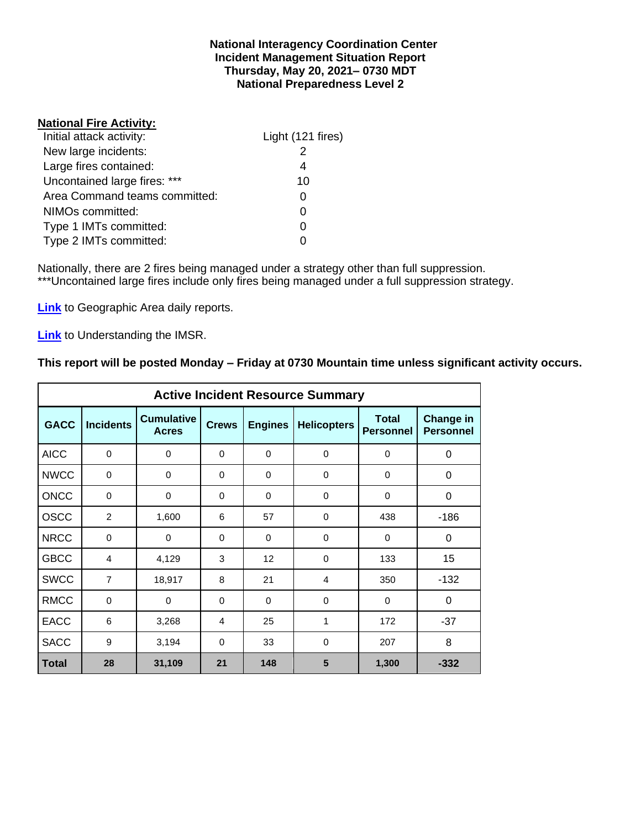#### **National Interagency Coordination Center Incident Management Situation Report Thursday, May 20, 2021– 0730 MDT National Preparedness Level 2**

#### **National Fire Activity:**

| Initial attack activity:      | Light (121 fires) |
|-------------------------------|-------------------|
| New large incidents:          |                   |
| Large fires contained:        | 4                 |
| Uncontained large fires: ***  | 10                |
| Area Command teams committed: |                   |
| NIMOs committed:              |                   |
| Type 1 IMTs committed:        |                   |
| Type 2 IMTs committed:        |                   |

Nationally, there are 2 fires being managed under a strategy other than full suppression. \*\*\*Uncontained large fires include only fires being managed under a full suppression strategy.

**[Link](http://www.nifc.gov/nicc/predictive/statelinks.htm)** to Geographic Area daily reports.

**[Link](https://www.predictiveservices.nifc.gov/intelligence/Understanding%20the%20IMSR%202019.pdf)** to Understanding the IMSR.

## **This report will be posted Monday – Friday at 0730 Mountain time unless significant activity occurs.**

|              |                  |                                   |              |                   | <b>Active Incident Resource Summary</b> |                                  |                                      |
|--------------|------------------|-----------------------------------|--------------|-------------------|-----------------------------------------|----------------------------------|--------------------------------------|
| <b>GACC</b>  | <b>Incidents</b> | <b>Cumulative</b><br><b>Acres</b> | <b>Crews</b> | <b>Engines</b>    | <b>Helicopters</b>                      | <b>Total</b><br><b>Personnel</b> | <b>Change in</b><br><b>Personnel</b> |
| <b>AICC</b>  | $\mathbf 0$      | 0                                 | $\Omega$     | 0                 | $\mathbf 0$                             | 0                                | 0                                    |
| <b>NWCC</b>  | 0                | 0                                 | 0            | 0                 | 0                                       | 0                                | 0                                    |
| <b>ONCC</b>  | $\Omega$         | $\mathbf 0$                       | $\Omega$     | $\Omega$          | $\Omega$                                | $\Omega$                         | 0                                    |
| <b>OSCC</b>  | 2                | 1,600                             | 6            | 57                | $\mathbf 0$                             | 438                              | $-186$                               |
| <b>NRCC</b>  | $\mathbf 0$      | $\mathbf 0$                       | $\Omega$     | $\Omega$          | $\Omega$                                | $\Omega$                         | 0                                    |
| <b>GBCC</b>  | 4                | 4,129                             | 3            | $12 \overline{ }$ | $\Omega$                                | 133                              | 15                                   |
| <b>SWCC</b>  | $\overline{7}$   | 18,917                            | 8            | 21                | 4                                       | 350                              | $-132$                               |
| <b>RMCC</b>  | $\mathbf 0$      | $\Omega$                          | $\Omega$     | $\Omega$          | $\Omega$                                | $\Omega$                         | 0                                    |
| <b>EACC</b>  | 6                | 3,268                             | 4            | 25                | 1                                       | 172                              | $-37$                                |
| <b>SACC</b>  | 9                | 3,194                             | $\Omega$     | 33                | $\Omega$                                | 207                              | 8                                    |
| <b>Total</b> | 28               | 31,109                            | 21           | 148               | 5                                       | 1,300                            | $-332$                               |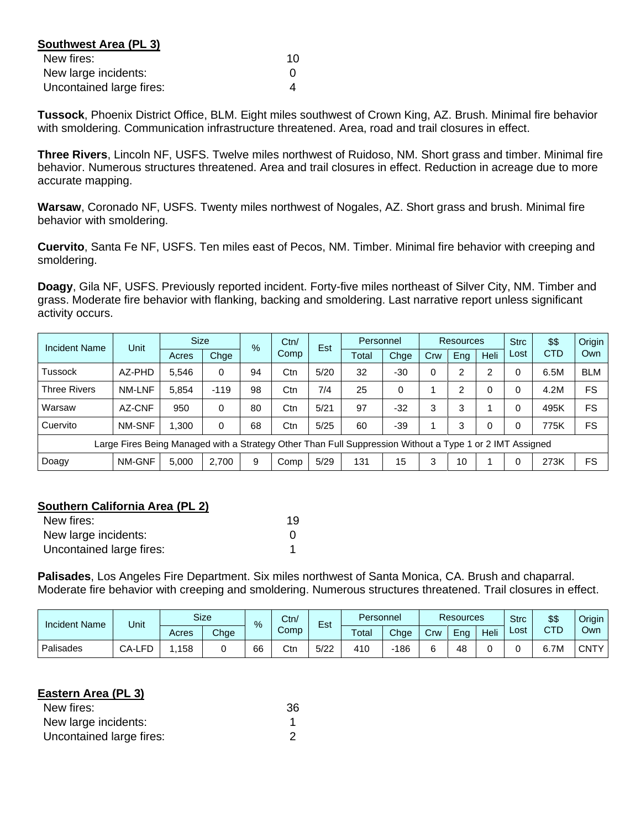| Southwest Area (PL 3)    |    |
|--------------------------|----|
| New fires:               | 10 |
| New large incidents:     |    |
| Uncontained large fires: |    |

**Tussock**, Phoenix District Office, BLM. Eight miles southwest of Crown King, AZ. Brush. Minimal fire behavior with smoldering. Communication infrastructure threatened. Area, road and trail closures in effect.

**Three Rivers**, Lincoln NF, USFS. Twelve miles northwest of Ruidoso, NM. Short grass and timber. Minimal fire behavior. Numerous structures threatened. Area and trail closures in effect. Reduction in acreage due to more accurate mapping.

**Warsaw**, Coronado NF, USFS. Twenty miles northwest of Nogales, AZ. Short grass and brush. Minimal fire behavior with smoldering.

**Cuervito**, Santa Fe NF, USFS. Ten miles east of Pecos, NM. Timber. Minimal fire behavior with creeping and smoldering.

**Doagy**, Gila NF, USFS. Previously reported incident. Forty-five miles northeast of Silver City, NM. Timber and grass. Moderate fire behavior with flanking, backing and smoldering. Last narrative report unless significant activity occurs.

| Incident Name       | Unit                                                                                                     | <b>Size</b> |        | $\%$ | Ctn/ | Est  | Personnel |       |          | <b>Resources</b> |             | <b>Strc</b> | \$\$       | Origin     |
|---------------------|----------------------------------------------------------------------------------------------------------|-------------|--------|------|------|------|-----------|-------|----------|------------------|-------------|-------------|------------|------------|
|                     |                                                                                                          | Acres       | Chge   |      | Comp |      | Total     | Chge  | Crw      | Eng              | <b>Heli</b> | Lost        | <b>CTD</b> | Own        |
| <b>Tussock</b>      | AZ-PHD                                                                                                   | 5,546       | 0      | 94   | Ctn  | 5/20 | 32        | $-30$ | $\Omega$ | 2                | 2           |             | 6.5M       | <b>BLM</b> |
| <b>Three Rivers</b> | NM-LNF                                                                                                   | 5,854       | $-119$ | 98   | Ctn  | 7/4  | 25        | 0     |          | $\overline{2}$   | $\Omega$    | 0           | 4.2M       | FS         |
| Warsaw              | AZ-CNF                                                                                                   | 950         | 0      | 80   | Ctn  | 5/21 | 97        | $-32$ | 3        | 3                |             |             | 495K       | FS         |
| Cuervito            | NM-SNF                                                                                                   | 1.300       | 0      | 68   | Ctn  | 5/25 | 60        | $-39$ |          | 3                | $\Omega$    |             | 775K       | FS         |
|                     | Large Fires Being Managed with a Strategy Other Than Full Suppression Without a Type 1 or 2 IMT Assigned |             |        |      |      |      |           |       |          |                  |             |             |            |            |
| Doagy               | NM-GNF                                                                                                   | 5,000       | 2.700  | 9    | Comp | 5/29 | 131       | 15    | 3        | 10               |             |             | 273K       | <b>FS</b>  |

## **Southern California Area (PL 2)**

| New fires:               | 19 |
|--------------------------|----|
| New large incidents:     |    |
| Uncontained large fires: |    |

**Palisades**, Los Angeles Fire Department. Six miles northwest of Santa Monica, CA. Brush and chaparral. Moderate fire behavior with creeping and smoldering. Numerous structures threatened. Trail closures in effect.

| <b>Incident Name</b> | Unit   | Size<br>Ctn/<br>$\overline{\phantom{0}}$<br>% |      |    | Personnel<br>Est |      | <b>Resources</b> |      |     | <b>Strc</b> | \$\$ | Origin |      |        |
|----------------------|--------|-----------------------------------------------|------|----|------------------|------|------------------|------|-----|-------------|------|--------|------|--------|
|                      |        | Acres                                         | Chge |    | Comp             |      | Total            | Chae | Crw | Ena         | Heli | ∟ost   | CTD  | Own    |
| Palisades            | CA-LFD | 158                                           |      | 66 | Ctn              | 5/22 | 410              | 186  | ∽   | 48          |      |        | 6.7M | CNTY I |

#### **Eastern Area (PL 3)**

| New fires:               | 36 |
|--------------------------|----|
| New large incidents:     |    |
| Uncontained large fires: |    |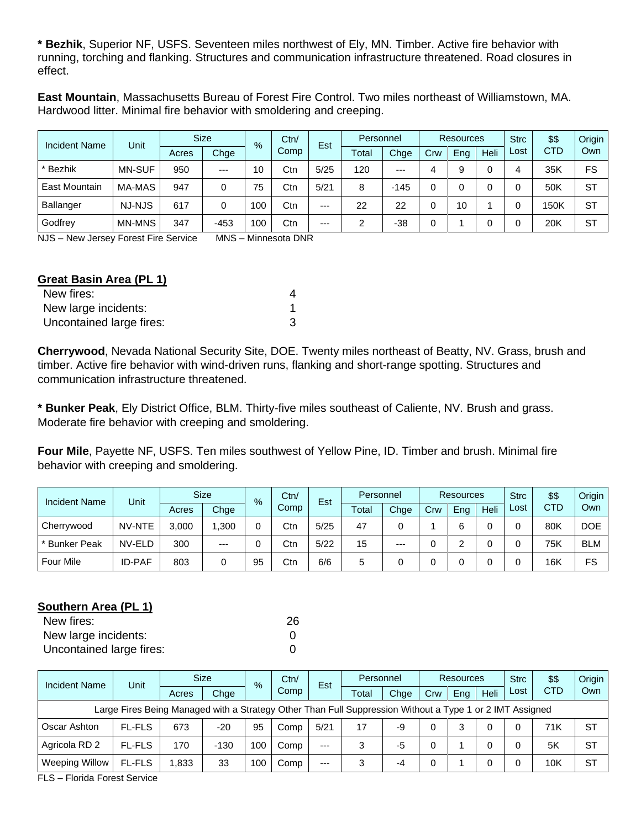**\* Bezhik**, Superior NF, USFS. Seventeen miles northwest of Ely, MN. Timber. Active fire behavior with running, torching and flanking. Structures and communication infrastructure threatened. Road closures in effect.

**East Mountain**, Massachusetts Bureau of Forest Fire Control. Two miles northeast of Williamstown, MA. Hardwood litter. Minimal fire behavior with smoldering and creeping.

| <b>Incident Name</b> | Unit          |       | <b>Size</b> | %   |      | Est  | Personnel |        | <b>Resources</b> |     |      | <b>Strc</b> | \$\$       | Origin    |
|----------------------|---------------|-------|-------------|-----|------|------|-----------|--------|------------------|-----|------|-------------|------------|-----------|
|                      |               | Acres | Chge        |     | Comp |      | Total     | Chge   | Crw              | Ena | Heli | Lost        | <b>CTD</b> | Own       |
| * Bezhik             | <b>MN-SUF</b> | 950   | $---$       | 10  | Ctn  | 5/25 | 120       | $---$  | 4                | 9   |      |             | 35K        | FS        |
| <b>East Mountain</b> | MA-MAS        | 947   | 0           | 75  | Ctn  | 5/21 | 8         | $-145$ |                  |     |      |             | 50K        | <b>ST</b> |
| <b>Ballanger</b>     | NJ-NJS        | 617   | 0           | 100 | Ctn  | $--$ | 22        | 22     |                  | 10  |      |             | 150K       | <b>ST</b> |
| Godfrey              | <b>MN-MNS</b> | 347   | $-453$      | 00  | Ctn  | $--$ | 2         | -38    |                  |     |      |             | 20K        | <b>ST</b> |

NJS – New Jersey Forest Fire Service MNS – Minnesota DNR

## **Great Basin Area (PL 1)**

| New fires:               |  |
|--------------------------|--|
| New large incidents:     |  |
| Uncontained large fires: |  |

**Cherrywood**, Nevada National Security Site, DOE. Twenty miles northeast of Beatty, NV. Grass, brush and timber. Active fire behavior with wind-driven runs, flanking and short-range spotting. Structures and communication infrastructure threatened.

**\* Bunker Peak**, Ely District Office, BLM. Thirty-five miles southeast of Caliente, NV. Brush and grass. Moderate fire behavior with creeping and smoldering.

**Four Mile**, Payette NF, USFS. Ten miles southwest of Yellow Pine, ID. Timber and brush. Minimal fire behavior with creeping and smoldering.

| <b>Incident Name</b> | Unit          |       | <b>Size</b><br>$\%$ |    | Ctn/<br>Est |      | Personnel |       |     | <b>Resources</b> |      | <b>Strc</b> | \$\$       | Origin     |
|----------------------|---------------|-------|---------------------|----|-------------|------|-----------|-------|-----|------------------|------|-------------|------------|------------|
|                      |               | Acres | Chge                |    | Comp        |      | Total     | Chge  | Crw | Eng              | Heli | Lost        | <b>CTD</b> | Own        |
| Cherrywood           | NV-NTE        | 3.000 | .300                |    | Ctn         | 5/25 | 47        |       |     |                  |      |             | 80K        | <b>DOE</b> |
| * Bunker Peak        | NV-ELD        | 300   | $---$               |    | Ctn         | 5/22 | 15        | $---$ |     |                  |      |             | 75K        | <b>BLM</b> |
| <b>Four Mile</b>     | <b>ID-PAF</b> | 803   | 0                   | 95 | Ctn         | 6/6  | 5         |       |     |                  |      |             | 16K        | FS         |

# **Southern Area (PL 1)**

| New fires:               | 26 |
|--------------------------|----|
| New large incidents:     |    |
| Uncontained large fires: |    |

| <b>Incident Name</b>                                                                                     | Unit          | <b>Size</b> |        | $\%$ | Ctn/<br>Est | Personnel |       |      | <b>Resources</b> |     | <b>Strc</b> | \$\$ | Origin     |           |
|----------------------------------------------------------------------------------------------------------|---------------|-------------|--------|------|-------------|-----------|-------|------|------------------|-----|-------------|------|------------|-----------|
|                                                                                                          |               | Acres       | Chge   |      | Comp        |           | Total | Chae | Crw              | Eng | Heli        | Lost | <b>CTD</b> | Own       |
| Large Fires Being Managed with a Strategy Other Than Full Suppression Without a Type 1 or 2 IMT Assigned |               |             |        |      |             |           |       |      |                  |     |             |      |            |           |
| Oscar Ashton                                                                                             | <b>FL-FLS</b> | 673         | $-20$  | 95   | Comp        | 5/21      | 17    | -9   |                  | 3   |             |      | 71K        | <b>ST</b> |
| Agricola RD 2                                                                                            | <b>FL-FLS</b> | 170         | $-130$ | 100  | Comp        | $---$     | 3     | -5   |                  |     |             |      | 5K         | <b>ST</b> |
| <b>Weeping Willow</b>                                                                                    | <b>FL-FLS</b> | .833        | 33     | 100  | Comp        | $---$     | 3     | -4   |                  |     |             |      | 10K        | <b>ST</b> |

FLS – Florida Forest Service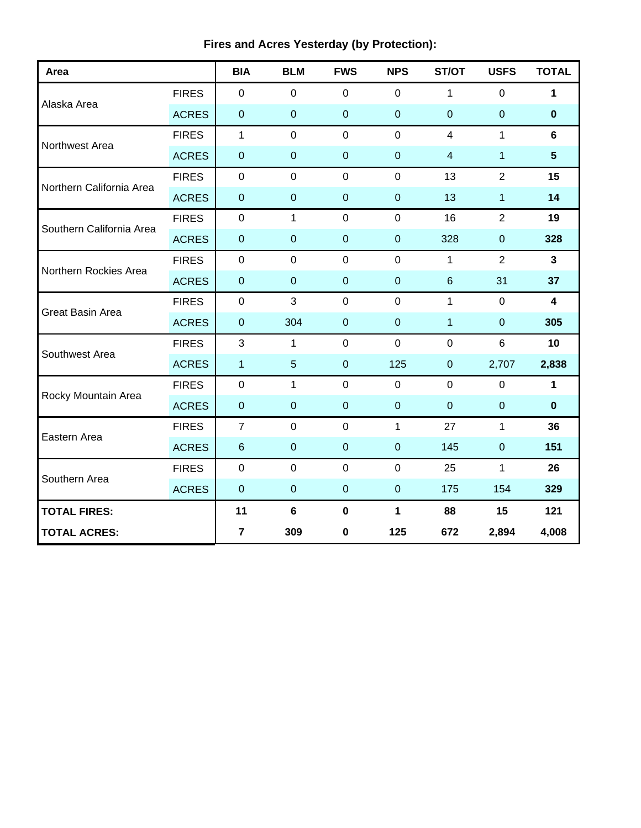| Area                     |              | <b>BIA</b>     | <b>BLM</b>       | <b>FWS</b>       | <b>NPS</b>       | ST/OT            | <b>USFS</b>      | <b>TOTAL</b>            |
|--------------------------|--------------|----------------|------------------|------------------|------------------|------------------|------------------|-------------------------|
| Alaska Area              | <b>FIRES</b> | $\mathbf 0$    | $\mathbf 0$      | $\mathbf 0$      | $\mathbf 0$      | 1                | 0                | 1                       |
|                          | <b>ACRES</b> | $\pmb{0}$      | $\overline{0}$   | $\mathbf 0$      | $\mathbf 0$      | $\overline{0}$   | $\pmb{0}$        | $\bf{0}$                |
| Northwest Area           | <b>FIRES</b> | 1              | $\mathbf 0$      | $\mathbf 0$      | $\mathbf 0$      | $\overline{4}$   | 1                | $6\phantom{a}$          |
|                          | <b>ACRES</b> | $\pmb{0}$      | $\mathbf 0$      | $\mathbf 0$      | $\mathbf 0$      | $\overline{4}$   | $\mathbf{1}$     | $5\phantom{.0}$         |
| Northern California Area | <b>FIRES</b> | $\mathbf 0$    | $\mathbf 0$      | $\mathbf 0$      | $\mathbf 0$      | 13               | $\overline{2}$   | 15                      |
|                          | <b>ACRES</b> | $\mathbf{0}$   | $\mathbf 0$      | $\mathbf 0$      | $\mathbf 0$      | 13               | 1                | 14                      |
|                          | <b>FIRES</b> | $\mathbf 0$    | $\mathbf{1}$     | $\mathbf 0$      | $\mathbf 0$      | 16               | $\overline{2}$   | 19                      |
| Southern California Area | <b>ACRES</b> | $\pmb{0}$      | $\overline{0}$   | $\mathbf 0$      | $\mathbf 0$      | 328              | $\boldsymbol{0}$ | 328                     |
| Northern Rockies Area    | <b>FIRES</b> | $\mathbf 0$    | $\mathbf 0$      | $\mathbf 0$      | $\mathbf 0$      | $\mathbf 1$      | $\overline{2}$   | $\mathbf{3}$            |
|                          | <b>ACRES</b> | $\pmb{0}$      | $\boldsymbol{0}$ | $\mathbf 0$      | $\boldsymbol{0}$ | $6\phantom{.}$   | 31               | 37                      |
| Great Basin Area         | <b>FIRES</b> | $\pmb{0}$      | 3                | $\mathbf 0$      | $\mathbf 0$      | $\mathbf{1}$     | $\mathbf 0$      | $\overline{\mathbf{4}}$ |
|                          | <b>ACRES</b> | $\mathbf 0$    | 304              | $\mathbf 0$      | $\boldsymbol{0}$ | $\mathbf{1}$     | $\mathbf{0}$     | 305                     |
| Southwest Area           | <b>FIRES</b> | $\mathbf{3}$   | 1                | $\boldsymbol{0}$ | $\mathbf 0$      | $\boldsymbol{0}$ | $\,6\,$          | 10                      |
|                          | <b>ACRES</b> | $\mathbf{1}$   | $5\phantom{.0}$  | $\mathbf 0$      | 125              | $\pmb{0}$        | 2,707            | 2,838                   |
| Rocky Mountain Area      | <b>FIRES</b> | $\mathbf 0$    | 1                | $\mathbf 0$      | $\mathbf 0$      | $\mathbf 0$      | $\mathbf 0$      | $\mathbf{1}$            |
|                          | <b>ACRES</b> | $\pmb{0}$      | $\overline{0}$   | $\mathbf 0$      | $\mathbf 0$      | $\overline{0}$   | $\mathbf{0}$     | $\mathbf 0$             |
| Eastern Area             | <b>FIRES</b> | $\overline{7}$ | $\mathbf 0$      | $\mathbf 0$      | $\mathbf{1}$     | 27               | $\mathbf{1}$     | 36                      |
|                          | <b>ACRES</b> | $\,6\,$        | $\mathbf 0$      | $\mathbf 0$      | $\mathbf 0$      | 145              | $\boldsymbol{0}$ | 151                     |
| Southern Area            | <b>FIRES</b> | $\mathbf 0$    | $\mathbf 0$      | $\mathbf 0$      | $\mathbf 0$      | 25               | $\mathbf{1}$     | 26                      |
|                          | <b>ACRES</b> | $\pmb{0}$      | $\mathbf 0$      | $\mathbf 0$      | $\boldsymbol{0}$ | 175              | 154              | 329                     |
| <b>TOTAL FIRES:</b>      |              | 11             | $6\phantom{1}$   | $\mathbf 0$      | 1                | 88               | 15               | 121                     |
| <b>TOTAL ACRES:</b>      |              | $\overline{7}$ | 309              | 0                | 125              | 672              | 2,894            | 4,008                   |

# **Fires and Acres Yesterday (by Protection):**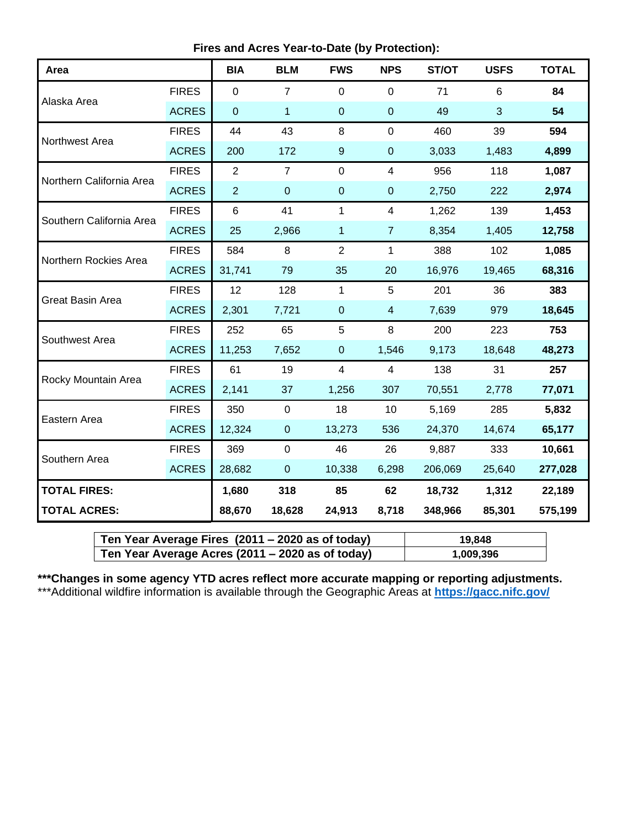**Fires and Acres Year-to-Date (by Protection):**

| Area                     |              | <b>BIA</b>     | <b>BLM</b>     | <b>FWS</b>       | <b>NPS</b>     | ST/OT   | <b>USFS</b> | <b>TOTAL</b> |
|--------------------------|--------------|----------------|----------------|------------------|----------------|---------|-------------|--------------|
| Alaska Area              | <b>FIRES</b> | $\overline{0}$ | $\overline{7}$ | $\mathbf 0$      | $\mathbf 0$    | 71      | 6           | 84           |
|                          | <b>ACRES</b> | $\mathbf 0$    | 1              | $\mathbf 0$      | $\mathbf 0$    | 49      | 3           | 54           |
| Northwest Area           | <b>FIRES</b> | 44             | 43             | 8                | $\mathbf 0$    | 460     | 39          | 594          |
|                          | <b>ACRES</b> | 200            | 172            | $\boldsymbol{9}$ | $\pmb{0}$      | 3,033   | 1,483       | 4,899        |
| Northern California Area | <b>FIRES</b> | $\overline{2}$ | $\overline{7}$ | $\overline{0}$   | 4              | 956     | 118         | 1,087        |
|                          | <b>ACRES</b> | $\overline{2}$ | $\mathbf 0$    | $\overline{0}$   | $\overline{0}$ | 2,750   | 222         | 2,974        |
| Southern California Area | <b>FIRES</b> | 6              | 41             | 1                | 4              | 1,262   | 139         | 1,453        |
|                          | <b>ACRES</b> | 25             | 2,966          | 1                | $\overline{7}$ | 8,354   | 1,405       | 12,758       |
| Northern Rockies Area    | <b>FIRES</b> | 584            | $\,8\,$        | $\overline{2}$   | $\mathbf{1}$   | 388     | 102         | 1,085        |
|                          | <b>ACRES</b> | 31,741         | 79             | 35               | 20             | 16,976  | 19,465      | 68,316       |
| Great Basin Area         | <b>FIRES</b> | 12             | 128            | $\mathbf{1}$     | 5              | 201     | 36          | 383          |
|                          | <b>ACRES</b> | 2,301          | 7,721          | $\overline{0}$   | $\overline{4}$ | 7,639   | 979         | 18,645       |
| Southwest Area           | <b>FIRES</b> | 252            | 65             | 5                | 8              | 200     | 223         | 753          |
|                          | <b>ACRES</b> | 11,253         | 7,652          | $\mathbf 0$      | 1,546          | 9,173   | 18,648      | 48,273       |
| Rocky Mountain Area      | <b>FIRES</b> | 61             | 19             | 4                | $\overline{4}$ | 138     | 31          | 257          |
|                          | <b>ACRES</b> | 2,141          | 37             | 1,256            | 307            | 70,551  | 2,778       | 77,071       |
| Eastern Area             | <b>FIRES</b> | 350            | $\mathbf 0$    | 18               | 10             | 5,169   | 285         | 5,832        |
|                          | <b>ACRES</b> | 12,324         | $\overline{0}$ | 13,273           | 536            | 24,370  | 14,674      | 65,177       |
| Southern Area            | <b>FIRES</b> | 369            | $\mathbf 0$    | 46               | 26             | 9,887   | 333         | 10,661       |
|                          | <b>ACRES</b> | 28,682         | $\mathbf 0$    | 10,338           | 6,298          | 206,069 | 25,640      | 277,028      |
| <b>TOTAL FIRES:</b>      |              | 1,680          | 318            | 85               | 62             | 18,732  | 1,312       | 22,189       |
| <b>TOTAL ACRES:</b>      |              | 88,670         | 18,628         | 24,913           | 8,718          | 348,966 | 85,301      | 575,199      |

| Ten Year Average Fires (2011 – 2020 as of today) | 19.848    |
|--------------------------------------------------|-----------|
| Ten Year Average Acres (2011 – 2020 as of today) | 1,009,396 |

**\*\*\*Changes in some agency YTD acres reflect more accurate mapping or reporting adjustments.** \*\*\*Additional wildfire information is available through the Geographic Areas at **<https://gacc.nifc.gov/>**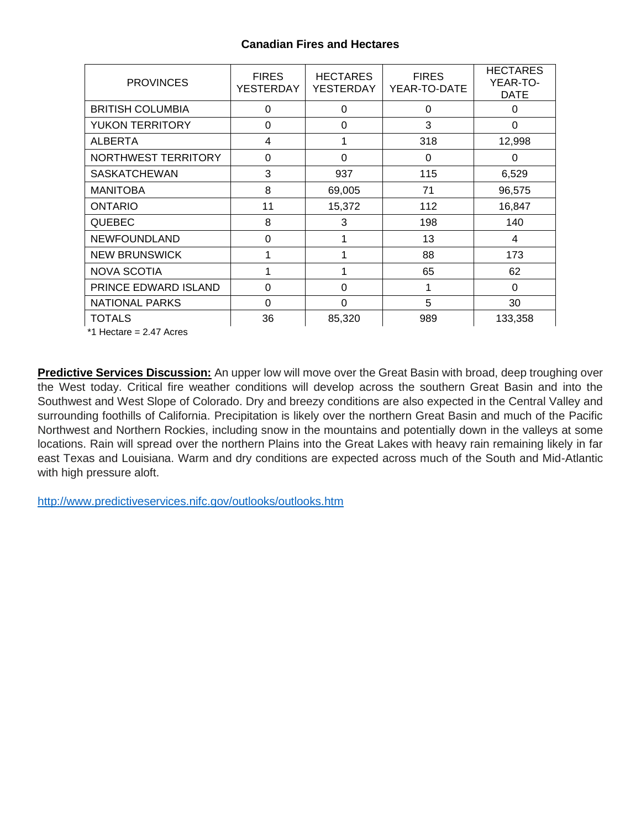# **Canadian Fires and Hectares**

| <b>PROVINCES</b>        | <b>FIRES</b><br><b>YESTERDAY</b> | <b>HECTARES</b><br>YESTERDAY | <b>FIRES</b><br>YEAR-TO-DATE | <b>HECTARES</b><br>YEAR-TO-<br><b>DATE</b> |
|-------------------------|----------------------------------|------------------------------|------------------------------|--------------------------------------------|
| <b>BRITISH COLUMBIA</b> | $\Omega$                         | 0                            | 0                            | $\Omega$                                   |
| <b>YUKON TERRITORY</b>  | 0                                | 0                            | 3                            | $\Omega$                                   |
| <b>ALBERTA</b>          | 4                                |                              | 318                          | 12,998                                     |
| NORTHWEST TERRITORY     | $\Omega$                         | $\Omega$                     | 0                            | $\Omega$                                   |
| <b>SASKATCHEWAN</b>     | 3                                | 937                          | 115                          | 6,529                                      |
| <b>MANITOBA</b>         | 8                                | 69,005                       | 71                           | 96,575                                     |
| <b>ONTARIO</b>          | 11                               | 15,372                       | 112                          | 16,847                                     |
| <b>QUEBEC</b>           | 8                                | 3                            | 198                          | 140                                        |
| <b>NEWFOUNDLAND</b>     | 0                                |                              | 13                           | 4                                          |
| <b>NEW BRUNSWICK</b>    |                                  |                              | 88                           | 173                                        |
| <b>NOVA SCOTIA</b>      | 1                                | 1                            | 65                           | 62                                         |
| PRINCE EDWARD ISLAND    | $\Omega$                         | 0                            | 1                            | 0                                          |
| <b>NATIONAL PARKS</b>   | 0                                | 0                            | 5                            | 30                                         |
| <b>TOTALS</b>           | 36                               | 85,320                       | 989                          | 133,358                                    |

\*1 Hectare = 2.47 Acres

**Predictive Services Discussion:** An upper low will move over the Great Basin with broad, deep troughing over the West today. Critical fire weather conditions will develop across the southern Great Basin and into the Southwest and West Slope of Colorado. Dry and breezy conditions are also expected in the Central Valley and surrounding foothills of California. Precipitation is likely over the northern Great Basin and much of the Pacific Northwest and Northern Rockies, including snow in the mountains and potentially down in the valleys at some locations. Rain will spread over the northern Plains into the Great Lakes with heavy rain remaining likely in far east Texas and Louisiana. Warm and dry conditions are expected across much of the South and Mid-Atlantic with high pressure aloft.

<http://www.predictiveservices.nifc.gov/outlooks/outlooks.htm>